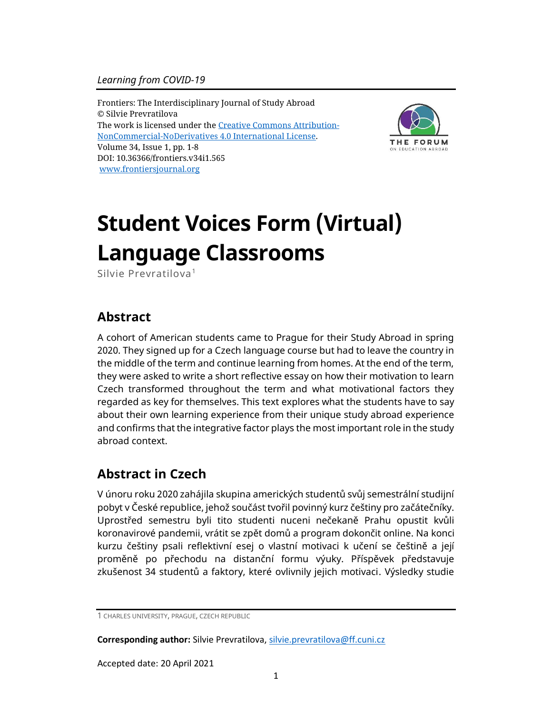Frontiers: The Interdisciplinary Journal of Study Abroad © Silvie Prevratilova The work is licensed under the [Creative Commons Attribution-](https://creativecommons.org/licenses/by-nc-nd/4.0/)[NonCommercial-NoDerivatives](https://creativecommons.org/licenses/by-nc-nd/4.0/) 4.0 International License. Volume 34, Issue 1, pp. 1-8 DOI: 10.36366/frontiers.v34i1.565 [www.frontiersjournal.org](http://www.frontiersjournal.org/)



# **Student Voices Form (Virtual) Language Classrooms**

Silvie Prevratilova<sup>1</sup>

## **Abstract**

A cohort of American students came to Prague for their Study Abroad in spring 2020. They signed up for a Czech language course but had to leave the country in the middle of the term and continue learning from homes. At the end of the term, they were asked to write a short reflective essay on how their motivation to learn Czech transformed throughout the term and what motivational factors they regarded as key for themselves. This text explores what the students have to say about their own learning experience from their unique study abroad experience and confirms that the integrative factor plays the most important role in the study abroad context.

# **Abstract in Czech**

V únoru roku 2020 zahájila skupina amerických studentů svůj semestrální studijní pobyt v České republice, jehož součást tvořil povinný kurz češtiny pro začátečníky. Uprostřed semestru byli tito studenti nuceni nečekaně Prahu opustit kvůli koronavirové pandemii, vrátit se zpět domů a program dokončit online. Na konci kurzu češtiny psali reflektivní esej o vlastní motivaci k učení se češtině a její proměně po přechodu na distanční formu výuky. Příspěvek představuje zkušenost 34 studentů a faktory, které ovlivnily jejich motivaci. Výsledky studie

**Corresponding author:** Silvie Prevratilova, [silvie.prevratilova@ff.cuni.cz](mailto:silvie.prevratilova@ff.cuni.cz)

Accepted date: 20 April 2021

<sup>1</sup> CHARLES UNIVERSITY, PRAGUE, CZECH REPUBLIC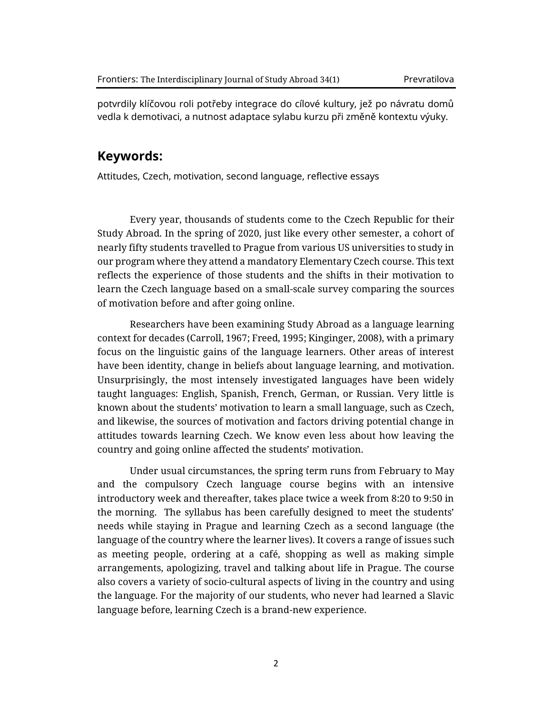potvrdily klíčovou roli potřeby integrace do cílové kultury, jež po návratu domů vedla k demotivaci, a nutnost adaptace sylabu kurzu při změně kontextu výuky.

#### **Keywords:**

Attitudes, Czech, motivation, second language, reflective essays

Every year, thousands of students come to the Czech Republic for their Study Abroad. In the spring of 2020, just like every other semester, a cohort of nearly fifty students travelled to Prague from various US universities to study in our program where they attend a mandatory Elementary Czech course. This text reflects the experience of those students and the shifts in their motivation to learn the Czech language based on a small-scale survey comparing the sources of motivation before and after going online.

Researchers have been examining Study Abroad as a language learning context for decades (Carroll, 1967; Freed, 1995; Kinginger, 2008), with a primary focus on the linguistic gains of the language learners. Other areas of interest have been identity, change in beliefs about language learning, and motivation. Unsurprisingly, the most intensely investigated languages have been widely taught languages: English, Spanish, French, German, or Russian. Very little is known about the students' motivation to learn a small language, such as Czech, and likewise, the sources of motivation and factors driving potential change in attitudes towards learning Czech. We know even less about how leaving the country and going online affected the students' motivation.

Under usual circumstances, the spring term runs from February to May and the compulsory Czech language course begins with an intensive introductory week and thereafter, takes place twice a week from 8:20 to 9:50 in the morning. The syllabus has been carefully designed to meet the students' needs while staying in Prague and learning Czech as a second language (the language of the country where the learner lives). It covers a range of issues such as meeting people, ordering at a café, shopping as well as making simple arrangements, apologizing, travel and talking about life in Prague. The course also covers a variety of socio-cultural aspects of living in the country and using the language. For the majority of our students, who never had learned a Slavic language before, learning Czech is a brand-new experience.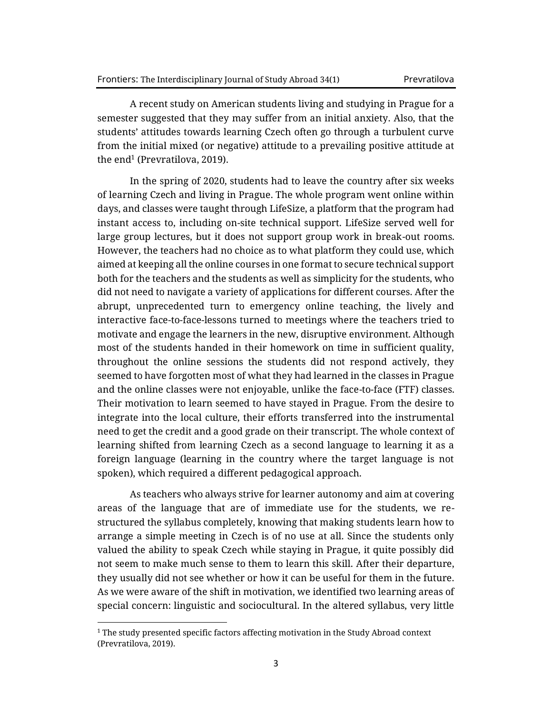A recent study on American students living and studying in Prague for a semester suggested that they may suffer from an initial anxiety. Also, that the students' attitudes towards learning Czech often go through a turbulent curve from the initial mixed (or negative) attitude to a prevailing positive attitude at the end $^1$  (Prevratilova, 2019).

In the spring of 2020, students had to leave the country after six weeks of learning Czech and living in Prague. The whole program went online within days, and classes were taught through LifeSize, a platform that the program had instant access to, including on-site technical support. LifeSize served well for large group lectures, but it does not support group work in break-out rooms. However, the teachers had no choice as to what platform they could use, which aimed at keeping all the online courses in one format to secure technical support both for the teachers and the students as well as simplicity for the students, who did not need to navigate a variety of applications for different courses. After the abrupt, unprecedented turn to emergency online teaching, the lively and interactive face-to-face-lessons turned to meetings where the teachers tried to motivate and engage the learners in the new, disruptive environment. Although most of the students handed in their homework on time in sufficient quality, throughout the online sessions the students did not respond actively, they seemed to have forgotten most of what they had learned in the classes in Prague and the online classes were not enjoyable, unlike the face-to-face (FTF) classes. Their motivation to learn seemed to have stayed in Prague. From the desire to integrate into the local culture, their efforts transferred into the instrumental need to get the credit and a good grade on their transcript. The whole context of learning shifted from learning Czech as a second language to learning it as a foreign language (learning in the country where the target language is not spoken), which required a different pedagogical approach.

As teachers who always strive for learner autonomy and aim at covering areas of the language that are of immediate use for the students, we restructured the syllabus completely, knowing that making students learn how to arrange a simple meeting in Czech is of no use at all. Since the students only valued the ability to speak Czech while staying in Prague, it quite possibly did not seem to make much sense to them to learn this skill. After their departure, they usually did not see whether or how it can be useful for them in the future. As we were aware of the shift in motivation, we identified two learning areas of special concern: linguistic and sociocultural. In the altered syllabus, very little

 $1$  The study presented specific factors affecting motivation in the Study Abroad context (Prevratilova, 2019).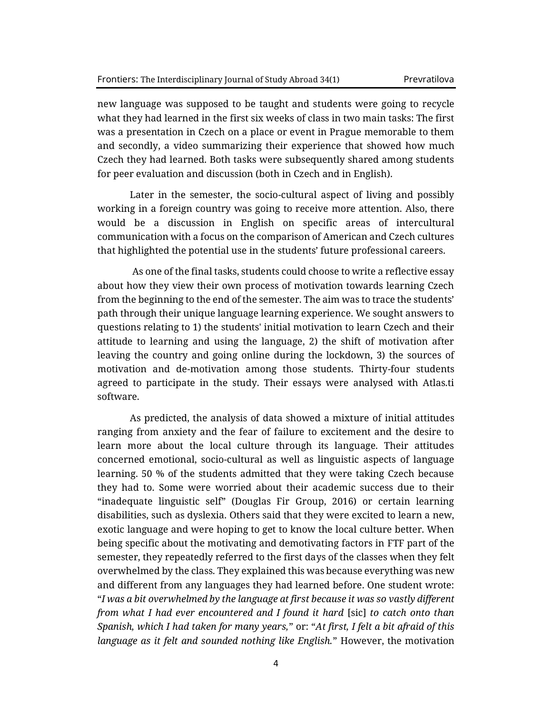new language was supposed to be taught and students were going to recycle what they had learned in the first six weeks of class in two main tasks: The first was a presentation in Czech on a place or event in Prague memorable to them and secondly, a video summarizing their experience that showed how much Czech they had learned. Both tasks were subsequently shared among students for peer evaluation and discussion (both in Czech and in English).

Later in the semester, the socio-cultural aspect of living and possibly working in a foreign country was going to receive more attention. Also, there would be a discussion in English on specific areas of intercultural communication with a focus on the comparison of American and Czech cultures that highlighted the potential use in the students' future professional careers.

As one of the final tasks, students could choose to write a reflective essay about how they view their own process of motivation towards learning Czech from the beginning to the end of the semester. The aim was to trace the students' path through their unique language learning experience. We sought answers to questions relating to 1) the students' initial motivation to learn Czech and their attitude to learning and using the language, 2) the shift of motivation after leaving the country and going online during the lockdown, 3) the sources of motivation and de-motivation among those students. Thirty-four students agreed to participate in the study. Their essays were analysed with Atlas.ti software.

As predicted, the analysis of data showed a mixture of initial attitudes ranging from anxiety and the fear of failure to excitement and the desire to learn more about the local culture through its language. Their attitudes concerned emotional, socio-cultural as well as linguistic aspects of language learning. 50 % of the students admitted that they were taking Czech because they had to. Some were worried about their academic success due to their "inadequate linguistic self" (Douglas Fir Group, 2016) or certain learning disabilities, such as dyslexia. Others said that they were excited to learn a new, exotic language and were hoping to get to know the local culture better. When being specific about the motivating and demotivating factors in FTF part of the semester, they repeatedly referred to the first days of the classes when they felt overwhelmed by the class. They explained this was because everything was new and different from any languages they had learned before. One student wrote: "*I was a bit overwhelmed by the language at first because it was so vastly different from what I had ever encountered and I found it hard* [sic] *to catch onto than Spanish, which I had taken for many years,*" or: "*At first, I felt a bit afraid of this language as it felt and sounded nothing like English.*" However, the motivation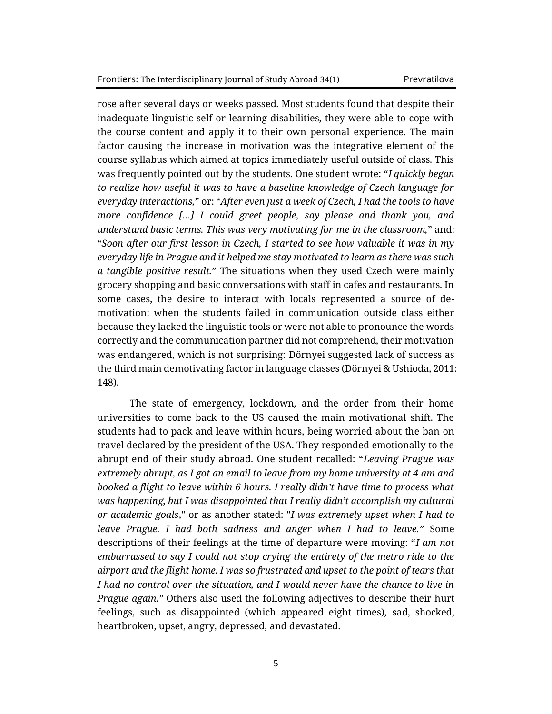rose after several days or weeks passed. Most students found that despite their inadequate linguistic self or learning disabilities, they were able to cope with the course content and apply it to their own personal experience. The main factor causing the increase in motivation was the integrative element of the course syllabus which aimed at topics immediately useful outside of class. This was frequently pointed out by the students. One student wrote: "*I quickly began to realize how useful it was to have a baseline knowledge of Czech language for everyday interactions,*" or: "*After even just a week of Czech, I had the tools to have more confidence […] I could greet people, say please and thank you, and understand basic terms. This was very motivating for me in the classroom,*" and: "*Soon after our first lesson in Czech, I started to see how valuable it was in my everyday life in Prague and it helped me stay motivated to learn as there was such a tangible positive result.*" The situations when they used Czech were mainly grocery shopping and basic conversations with staff in cafes and restaurants. In some cases, the desire to interact with locals represented a source of demotivation: when the students failed in communication outside class either because they lacked the linguistic tools or were not able to pronounce the words correctly and the communication partner did not comprehend, their motivation was endangered, which is not surprising: Dörnyei suggested lack of success as the third main demotivating factor in language classes (Dörnyei & Ushioda, 2011: 148).

The state of emergency, lockdown, and the order from their home universities to come back to the US caused the main motivational shift. The students had to pack and leave within hours, being worried about the ban on travel declared by the president of the USA. They responded emotionally to the abrupt end of their study abroad. One student recalled: "*Leaving Prague was extremely abrupt, as I got an email to leave from my home university at 4 am and booked a flight to leave within 6 hours. I really didn't have time to process what was happening, but I was disappointed that I really didn't accomplish my cultural or academic goals*," or as another stated: "*I was extremely upset when I had to leave Prague. I had both sadness and anger when I had to leave."* Some descriptions of their feelings at the time of departure were moving: "*I am not embarrassed to say I could not stop crying the entirety of the metro ride to the airport and the flight home. I was so frustrated and upset to the point of tears that I had no control over the situation, and I would never have the chance to live in Prague again."* Others also used the following adjectives to describe their hurt feelings, such as disappointed (which appeared eight times), sad, shocked, heartbroken, upset, angry, depressed, and devastated.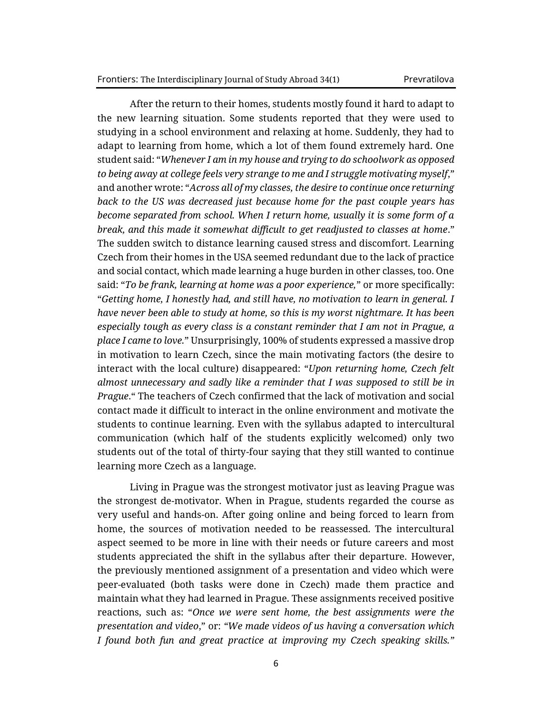After the return to their homes, students mostly found it hard to adapt to the new learning situation. Some students reported that they were used to studying in a school environment and relaxing at home. Suddenly, they had to adapt to learning from home, which a lot of them found extremely hard. One student said: "*Whenever I am in my house and trying to do schoolwork as opposed to being away at college feels very strange to me and I struggle motivating myself*," and another wrote: "*Across all of my classes, the desire to continue once returning back to the US was decreased just because home for the past couple years has become separated from school. When I return home, usually it is some form of a break, and this made it somewhat difficult to get readjusted to classes at home*." The sudden switch to distance learning caused stress and discomfort. Learning Czech from their homes in the USA seemed redundant due to the lack of practice and social contact, which made learning a huge burden in other classes, too. One said: "*To be frank, learning at home was a poor experience,*" or more specifically: "*Getting home, I honestly had, and still have, no motivation to learn in general. I have never been able to study at home, so this is my worst nightmare. It has been especially tough as every class is a constant reminder that I am not in Prague, a place I came to love.*" Unsurprisingly, 100% of students expressed a massive drop in motivation to learn Czech, since the main motivating factors (the desire to interact with the local culture) disappeared: "*Upon returning home, Czech felt almost unnecessary and sadly like a reminder that I was supposed to still be in Prague*." The teachers of Czech confirmed that the lack of motivation and social contact made it difficult to interact in the online environment and motivate the students to continue learning. Even with the syllabus adapted to intercultural communication (which half of the students explicitly welcomed) only two students out of the total of thirty-four saying that they still wanted to continue learning more Czech as a language.

Living in Prague was the strongest motivator just as leaving Prague was the strongest de-motivator. When in Prague, students regarded the course as very useful and hands-on. After going online and being forced to learn from home, the sources of motivation needed to be reassessed. The intercultural aspect seemed to be more in line with their needs or future careers and most students appreciated the shift in the syllabus after their departure. However, the previously mentioned assignment of a presentation and video which were peer-evaluated (both tasks were done in Czech) made them practice and maintain what they had learned in Prague. These assignments received positive reactions, such as: "*Once we were sent home, the best assignments were the presentation and video*," or: *"We made videos of us having a conversation which I found both fun and great practice at improving my Czech speaking skills."*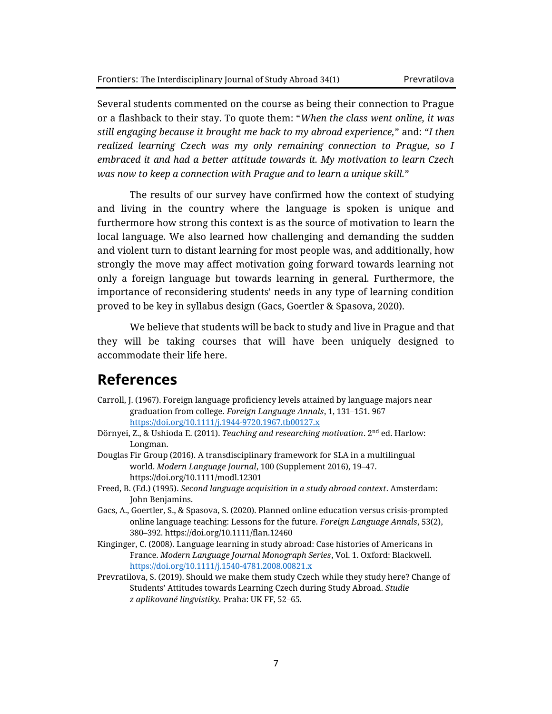Several students commented on the course as being their connection to Prague or a flashback to their stay. To quote them: "*When the class went online, it was still engaging because it brought me back to my abroad experience,*" and: "*I then realized learning Czech was my only remaining connection to Prague, so I embraced it and had a better attitude towards it. My motivation to learn Czech was now to keep a connection with Prague and to learn a unique skill.*"

The results of our survey have confirmed how the context of studying and living in the country where the language is spoken is unique and furthermore how strong this context is as the source of motivation to learn the local language. We also learned how challenging and demanding the sudden and violent turn to distant learning for most people was, and additionally, how strongly the move may affect motivation going forward towards learning not only a foreign language but towards learning in general. Furthermore, the importance of reconsidering students' needs in any type of learning condition proved to be key in syllabus design (Gacs, Goertler & Spasova, 2020).

We believe that students will be back to study and live in Prague and that they will be taking courses that will have been uniquely designed to accommodate their life here.

### **References**

- Carroll, J. (1967). Foreign language proficiency levels attained by language majors near graduation from college. *Foreign Language Annals*, 1, 131–151. 967 <https://doi.org/10.1111/j.1944-9720.1967.tb00127.x>
- Dörnyei, Z., & Ushioda E. (2011). *Teaching and researching motivation*. 2nd ed. Harlow: Longman.
- Douglas Fir Group (2016). A transdisciplinary framework for SLA in a multilingual world. *Modern Language Journal*, 100 (Supplement 2016), 19–47. https://doi.org/10.1111/modl.12301
- Freed, B. (Ed.) (1995). *Second language acquisition in a study abroad context*. Amsterdam: John Benjamins.
- Gacs, A., Goertler, S., & Spasova, S. (2020). Planned online education versus crisis-prompted online language teaching: Lessons for the future. *Foreign Language Annals*, 53(2), 380–392. https://doi.org/10.1111/flan.12460
- Kinginger, C. (2008). Language learning in study abroad: Case histories of Americans in France. *Modern Language Journal Monograph Series*, Vol. 1. Oxford: Blackwell. <https://doi.org/10.1111/j.1540-4781.2008.00821.x>
- Prevratilova, S. (2019). Should we make them study Czech while they study here? Change of Students' Attitudes towards Learning Czech during Study Abroad. *Studie z aplikované lingvistiky.* Praha: UK FF, 52–65.